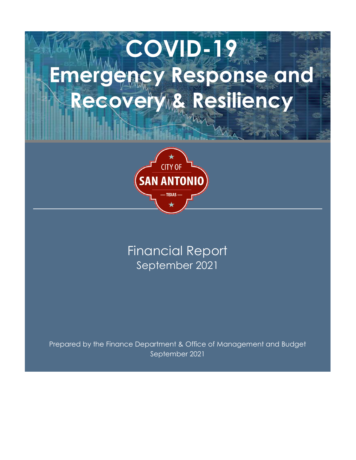# COVID-19 **Emergency Response and<br>Emergency Response and<br>Recovery & Resiliency** Recovery & Resiliency



## September 2021 Financial Report

Prepared by the Finance Department & Office of Management and Budget September 2021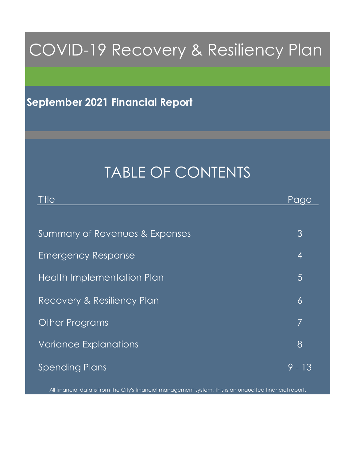# COVID-19 Recovery & Resiliency Plan

## September 2021 Financial Report

## TABLE OF CONTENTS

| Title                          | Page           |
|--------------------------------|----------------|
|                                |                |
| Summary of Revenues & Expenses | 3              |
| <b>Emergency Response</b>      | $\overline{4}$ |
| Health Implementation Plan     | $\overline{5}$ |
| Recovery & Resiliency Plan     | $\delta$       |
| <b>Other Programs</b>          | 7              |
| <b>Variance Explanations</b>   | 8              |
| <b>Spending Plans</b>          | 9 - 13         |

All financial data is from the City's financial management system. This is an unaudited financial report.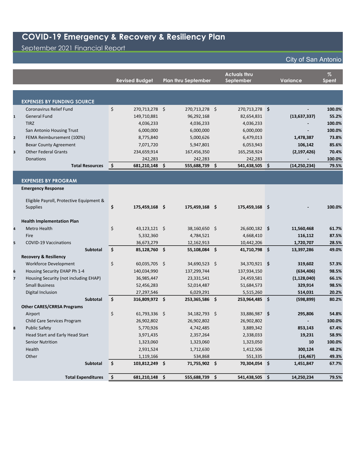September 2021 Financial Report

|              |                                                             |     | <b>Revised Budget</b> | <b>Plan thru September</b> | <b>Actuals thru</b><br>September | Variance       | $\%$<br><b>Spent</b> |
|--------------|-------------------------------------------------------------|-----|-----------------------|----------------------------|----------------------------------|----------------|----------------------|
|              |                                                             |     |                       |                            |                                  |                |                      |
|              |                                                             |     |                       |                            |                                  |                |                      |
|              | <b>EXPENSES BY FUNDING SOURCE</b>                           |     |                       |                            |                                  |                |                      |
|              | Coronavirus Relief Fund                                     | \$  | 270,713,278 \$        | 270,713,278 \$             | 270,713,278 \$                   |                | 100.0%               |
| $\mathbf{1}$ | <b>General Fund</b>                                         |     | 149,710,881           | 96,292,168                 | 82,654,831                       | (13, 637, 337) | 55.2%                |
|              | <b>TIRZ</b>                                                 |     | 4,036,233             | 4,036,233                  | 4,036,233                        |                | 100.0%               |
|              | San Antonio Housing Trust                                   |     | 6,000,000             | 6,000,000                  | 6,000,000                        | $\blacksquare$ | 100.0%               |
| $\mathbf{2}$ | FEMA Reimbursement (100%)                                   |     | 8,775,840             | 5,000,626                  | 6,479,013                        | 1,478,387      | 73.8%                |
|              | <b>Bexar County Agreement</b>                               |     | 7,071,720             | 5,947,801                  | 6,053,943                        | 106,142        | 85.6%                |
| 3            | <b>Other Federal Grants</b>                                 |     | 234,659,914           | 167,456,350                | 165,258,924                      | (2, 197, 426)  | 70.4%                |
|              | Donations                                                   |     | 242,283               | 242,283                    | 242,283                          |                | 100.0%               |
|              | <b>Total Resources</b>                                      | \$. | 681,210,148 \$        | 555,688,739 \$             | 541,438,505 \$                   | (14, 250, 234) | 79.5%                |
|              |                                                             |     |                       |                            |                                  |                |                      |
|              | <b>EXPENSES BY PROGRAM</b>                                  |     |                       |                            |                                  |                |                      |
|              | <b>Emergency Response</b>                                   |     |                       |                            |                                  |                |                      |
|              |                                                             |     |                       |                            |                                  |                |                      |
|              | Eligible Payroll, Protective Equipment &<br><b>Supplies</b> | \$  | 175,459,168 \$        | 175,459,168 \$             | 175,459,168 \$                   |                | 100.0%               |
|              |                                                             |     |                       |                            |                                  |                |                      |
|              | <b>Health Implementation Plan</b>                           |     |                       |                            |                                  |                |                      |
| 4            | Metro Health                                                | \$  | $43,123,121$ \$       | 38,160,650 \$              | 26,600,182 \$                    | 11,560,468     | 61.7%                |
|              | Fire                                                        |     | 5,332,360             | 4,784,521                  | 4,668,410                        | 116,112        | 87.5%                |
| 5            | <b>COVID-19 Vaccinations</b>                                |     | 36,673,279            | 12,162,913                 | 10,442,206                       | 1,720,707      | 28.5%                |
|              | <b>Subtotal</b>                                             | \$  | 85,128,760 \$         | 55,108,084 \$              | 41,710,798 \$                    | 13,397,286     | 49.0%                |
|              | <b>Recovery &amp; Resiliency</b>                            |     |                       |                            |                                  |                |                      |
|              | Workforce Development                                       | \$  | 60,035,705 \$         | 34,690,523 \$              | 34,370,921 \$                    | 319,602        | 57.3%                |
| 6            | Housing Security EHAP Ph 1-4                                |     | 140,034,990           | 137,299,744                | 137,934,150                      | (634, 406)     | 98.5%                |
| 7            | Housing Security (not including EHAP)                       |     | 36,985,447            | 23,331,541                 | 24,459,581                       | (1, 128, 040)  | 66.1%                |
|              | <b>Small Business</b>                                       |     | 52,456,283            | 52,014,487                 | 51,684,573                       | 329,914        | 98.5%                |
|              | Digital Inclusion                                           |     | 27,297,546            | 6,029,291                  | 5,515,260                        | 514,031        | 20.2%                |
|              | <b>Subtotal</b>                                             | \$  | 316,809,972 \$        | 253,365,586 \$             | 253,964,485 \$                   | (598, 899)     | 80.2%                |
|              | <b>Other CARES/CRRSA Programs</b>                           |     |                       |                            |                                  |                |                      |
|              | Airport                                                     | \$  | 61,793,336 \$         | 34,182,793 \$              | 33,886,987 \$                    | 295,806        | 54.8%                |
|              | Child Care Services Program                                 |     | 26,902,802            | 26,902,802                 | 26,902,802                       |                | 100.0%               |
| 8            | <b>Public Safety</b>                                        |     | 5,770,926             | 4,742,485                  | 3,889,342                        | 853,143        | 67.4%                |
|              | Head Start and Early Head Start                             |     | 3,971,435             | 2,357,264                  | 2,338,033                        | 19,231         | 58.9%                |
|              | <b>Senior Nutrition</b>                                     |     | 1,323,060             | 1,323,060                  | 1,323,050                        | 10             | 100.0%               |
|              | Health                                                      |     | 2,931,524             | 1,712,630                  | 1,412,506                        | 300,124        | 48.2%                |
|              | Other                                                       |     | 1,119,166             | 534,868                    | 551,335                          | (16, 467)      | 49.3%                |
|              | Subtotal                                                    | \$  | 103,812,249 \$        | 71,755,902 \$              | 70,304,054 \$                    | 1,451,847      | 67.7%                |
|              |                                                             |     |                       |                            |                                  |                |                      |
|              | <b>Total Expenditures</b>                                   | \$  | 681,210,148 \$        | 555,688,739 \$             | 541,438,505 \$                   | 14,250,234     | 79.5%                |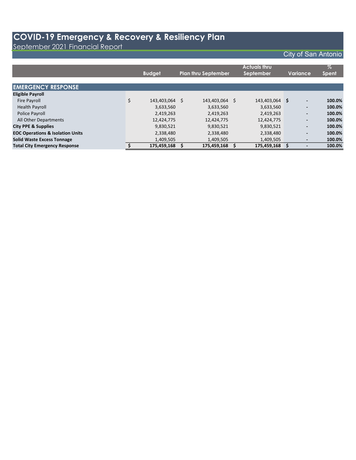September 2021 Financial Report

|                                             | <b>Budget</b>        | <b>Plan thru September</b> |    | <b>Actuals thru</b><br>September | Variance                 | $\%$<br><b>Spent</b> |
|---------------------------------------------|----------------------|----------------------------|----|----------------------------------|--------------------------|----------------------|
| <b>EMERGENCY RESPONSE</b>                   |                      |                            |    |                                  |                          |                      |
| <b>Eligible Payroll</b>                     |                      |                            |    |                                  |                          |                      |
| Fire Payroll                                | \$<br>143,403,064 \$ | 143,403,064                | -S | 143,403,064 \$                   | $\overline{\phantom{a}}$ | 100.0%               |
| <b>Health Payroll</b>                       | 3,633,560            | 3,633,560                  |    | 3,633,560                        | $\overline{\phantom{a}}$ | 100.0%               |
| Police Payroll                              | 2,419,263            | 2,419,263                  |    | 2,419,263                        | $\overline{\phantom{a}}$ | 100.0%               |
| All Other Departments                       | 12,424,775           | 12,424,775                 |    | 12,424,775                       | $\overline{\phantom{0}}$ | 100.0%               |
| <b>City PPE &amp; Supplies</b>              | 9,830,521            | 9,830,521                  |    | 9,830,521                        | $\overline{\phantom{a}}$ | 100.0%               |
| <b>EOC Operations &amp; Isolation Units</b> | 2,338,480            | 2,338,480                  |    | 2,338,480                        | $\overline{\phantom{a}}$ | 100.0%               |
| <b>Solid Waste Excess Tonnage</b>           | 1,409,505            | 1,409,505                  |    | 1,409,505                        |                          | 100.0%               |
| <b>Total City Emergency Response</b>        | 175,459,168          | 175,459,168                |    | 175,459,168                      |                          | 100.0%               |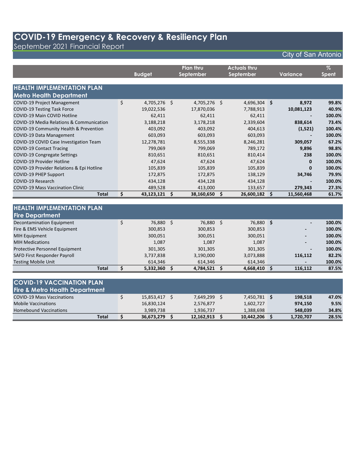September 2021 Financial Report

|                                           |    | <b>Budget</b>  |     | <b>Plan thru</b><br>September |     | <b>Actuals thru</b><br>September | <b>Variance</b> | $\%$<br><b>Spent</b> |
|-------------------------------------------|----|----------------|-----|-------------------------------|-----|----------------------------------|-----------------|----------------------|
|                                           |    |                |     |                               |     |                                  |                 |                      |
| <b>HEALTH IMPLEMENTATION PLAN</b>         |    |                |     |                               |     |                                  |                 |                      |
| <b>Metro Health Department</b>            |    |                |     |                               |     |                                  |                 |                      |
| <b>COVID-19 Project Management</b>        | \$ | $4,705,276$ \$ |     | 4,705,276 \$                  |     | 4,696,304 \$                     | 8,972           | 99.8%                |
| <b>COVID-19 Testing Task Force</b>        |    | 19,022,536     |     | 17,870,036                    |     | 7,788,913                        | 10,081,123      | 40.9%                |
| COVID-19 Main COVID Hotline               |    | 62,411         |     | 62,411                        |     | 62,411                           |                 | 100.0%               |
| COVID-19 Media Relations & Communication  |    | 3,188,218      |     | 3,178,218                     |     | 2,339,604                        | 838,614         | 73.4%                |
| COVID-19 Community Health & Prevention    |    | 403,092        |     | 403,092                       |     | 404,613                          | (1,521)         | 100.4%               |
| <b>COVID-19 Data Management</b>           |    | 603,093        |     | 603,093                       |     | 603,093                          |                 | 100.0%               |
| COVID-19 COVID Case Investigation Team    |    | 12,278,781     |     | 8,555,338                     |     | 8,246,281                        | 309,057         | 67.2%                |
| <b>COVID-19 Contact Tracing</b>           |    | 799,069        |     | 799,069                       |     | 789,172                          | 9,896           | 98.8%                |
| COVID-19 Congregate Settings              |    | 810,651        |     | 810,651                       |     | 810,414                          | 238             | 100.0%               |
| <b>COVID-19 Provider Hotline</b>          |    | 47,624         |     | 47,624                        |     | 47,624                           | $\mathbf{0}$    | 100.0%               |
| COVID-19 Provider Relations & Epi Hotline |    | 105,839        |     | 105,839                       |     | 105,839                          | $\bf{0}$        | 100.0%               |
| <b>COVID-19 PHEP Support</b>              |    | 172,875        |     | 172,875                       |     | 138,129                          | 34,746          | 79.9%                |
| COVID-19 Research                         |    | 434,128        |     | 434,128                       |     | 434,128                          |                 | 100.0%               |
| <b>COVID-19 Mass Vaccination Clinic</b>   |    | 489,528        |     | 413,000                       |     | 133,657                          | 279,343         | 27.3%                |
| <b>Total</b>                              | \$ | 43,123,121 \$  |     | 38,160,650                    | \$  | $26,600,182$ \$                  | 11,560,468      | 61.7%                |
|                                           |    |                |     |                               |     |                                  |                 |                      |
| <b>HEALTH IMPLEMENTATION PLAN</b>         |    |                |     |                               |     |                                  |                 |                      |
| <b>Fire Department</b>                    |    |                |     |                               |     |                                  |                 |                      |
| <b>Decontamination Equipment</b>          | Ś. | 76,880 \$      |     | 76,880 \$                     |     | 76,880 \$                        |                 | 100.0%               |
| Fire & EMS Vehicle Equipment              |    | 300,853        |     | 300,853                       |     | 300,853                          |                 | 100.0%               |
| <b>MIH Equipment</b>                      |    | 300,051        |     | 300,051                       |     | 300,051                          |                 | 100.0%               |
| <b>MIH Medications</b>                    |    | 1,087          |     | 1,087                         |     | 1,087                            |                 | 100.0%               |
| Protective Personnel Equipment            |    | 301,305        |     | 301,305                       |     | 301,305                          |                 | 100.0%               |
| SAFD First Responder Payroll              |    | 3,737,838      |     | 3,190,000                     |     | 3,073,888                        | 116,112         | 82.2%                |
| <b>Testing Mobile Unit</b>                |    | 614,346        |     | 614,346                       |     | 614,346                          |                 | 100.0%               |
| <b>Total</b>                              | \$ | 5,332,360      | \$. | 4,784,521                     | \$. | $4,668,410$ \$                   | 116,112         | 87.5%                |

| <b>COVID-19 VACCINATION PLAN</b>          |            |            |              |           |       |
|-------------------------------------------|------------|------------|--------------|-----------|-------|
| <b>Fire &amp; Metro Health Department</b> |            |            |              |           |       |
| <b>COVID-19 Mass Vaccinations</b>         | 15,853,417 | 7,649,299  | 7,450,781 \$ | 198.518   | 47.0% |
| <b>Mobile Vaccinations</b>                | 16,830,124 | 2,576,877  | 1,602,727    | 974.150   | 9.5%  |
| <b>Homebound Vaccinations</b>             | 3.989.738  | 1.936.737  | 1,388,698    | 548.039   | 34.8% |
| Total                                     | 36,673,279 | 12,162,913 | 10,442,206   | 1,720,707 | 28.5% |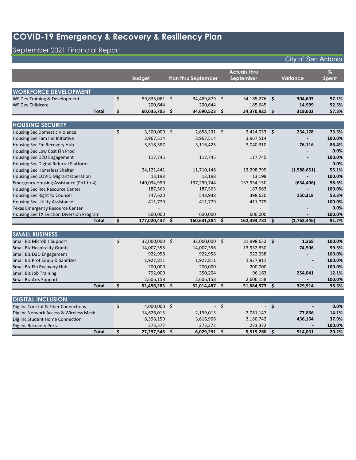## September 2021 Financial Report

|                                           |    |                |                     |                            |                    | <b>Actuals thru</b> |    |                          | $\overline{\mathcal{A}}$ |
|-------------------------------------------|----|----------------|---------------------|----------------------------|--------------------|---------------------|----|--------------------------|--------------------------|
|                                           |    | <b>Budget</b>  |                     | <b>Plan thru September</b> |                    | September           |    | Variance                 | Spent                    |
|                                           |    |                |                     |                            |                    |                     |    |                          |                          |
| <b>WORKFORCE DEVELOPMENT</b>              |    |                |                     |                            |                    |                     |    |                          |                          |
| WF Dev Training & Development             | \$ | 59,835,061 \$  |                     | 34,489,879 \$              |                    | 34,185,276 \$       |    | 304,603                  | 57.1%                    |
| <b>WF Dev Childcare</b>                   |    | 200,644        |                     | 200,644                    |                    | 185,645             |    | 14,999                   | 92.5%                    |
| <b>Total</b>                              | \$ | 60,035,705 \$  |                     | 34,690,523                 | \$                 | 34,370,921 \$       |    | 319,602                  | 57.3%                    |
|                                           |    |                |                     |                            |                    |                     |    |                          |                          |
| <b>HOUSING SECURITY</b>                   |    |                |                     |                            |                    |                     |    |                          |                          |
| <b>Housing Sec Domestic Violence</b>      | \$ | 3,300,000 \$   |                     | 2,658,231 \$               |                    | 2,424,053 \$        |    | 234,178                  | 73.5%                    |
| Housing Sec Fam Ind Initiative            |    | 3,967,514      |                     | 3,967,514                  |                    | 3,967,514           |    |                          | 100.0%                   |
| Housing Sec Fin Recovery Hub              |    | 3,518,587      |                     | 3,116,425                  |                    | 3,040,310           |    | 76,116                   | 86.4%                    |
| Housing Sec Low Cost Fin Prod             |    |                |                     |                            |                    |                     |    |                          | 0.0%                     |
| Housing Sec D2D Engagement                |    | 117,745        |                     | 117,745                    |                    | 117,745             |    |                          | 100.0%                   |
| Housing Sec Digital Referral Platform     |    |                |                     |                            |                    |                     |    |                          | 0.0%                     |
| Housing Sec Homeless Shelter              |    | 24,121,441     |                     | 11,710,148                 |                    | 13,298,799          |    | (1,588,651)              | 55.1%                    |
| Housing Sec COVID Migrant Operation       |    | 13,198         |                     | 13,198                     |                    | 13,198              |    |                          | 100.0%                   |
| Emergency Housing Assistance (Ph1 to 4)   |    | 140,034,990    |                     | 137,299,744                |                    | 137,934,150         |    | (634, 406)               | 98.5%                    |
| Housing Sec Rec Resource Center           |    | 187,563        |                     | 187,563                    |                    | 187,563             |    |                          | 100.0%                   |
| Housing Sec Right to Counsel              |    | 747,620        |                     | 548,938                    |                    | 398,620             |    | 150,318                  | 53.3%                    |
| Housing Sec Utility Assistance            |    | 411,779        |                     | 411,779                    |                    | 411,779             |    |                          | 100.0%                   |
| <b>Texas Emergency Resource Center</b>    |    |                |                     |                            |                    |                     |    |                          | 0.0%                     |
| Housing Sec TX Eviction Diversion Program |    | 600,000        |                     | 600,000                    |                    | 600,000             |    |                          | 100.0%                   |
| <b>Total</b>                              | \$ | 177,020,437 \$ |                     | 160,631,284                | $\mathsf{\hat{S}}$ | 162,393,731 \$      |    | (1,762,446)              | 91.7%                    |
|                                           |    |                |                     |                            |                    |                     |    |                          |                          |
| <b>SMALL BUSINESS</b>                     |    |                |                     |                            |                    |                     |    |                          |                          |
| Small Biz Microbiz Support                | \$ | 32,000,000 \$  |                     | 32,000,000 \$              |                    | 31,998,632 \$       |    | 1,368                    | 100.0%                   |
| <b>Small Biz Hospitality Grants</b>       |    | 14,007,356     |                     | 14,007,356                 |                    | 13,932,850          |    | 74,506                   | 99.5%                    |
| Small Biz D2D Engagement                  |    | 922,958        |                     | 922,958                    |                    | 922,958             |    |                          | 100.0%                   |
| Small Biz Prot Equip & Sanitizer          |    | 1,927,811      |                     | 1,927,811                  |                    | 1,927,811           |    |                          | 100.0%                   |
| Small Biz Fin Recovery Hub                |    | 200,000        |                     | 200,000                    |                    | 200,000             |    |                          | 100.0%                   |
| Small Biz Job Training                    |    | 792,000        |                     | 350,204                    |                    | 96,163              |    | 254,041                  | 12.1%                    |
| Small Biz Arts Support                    |    | 2,606,158      |                     | 2,606,158                  |                    | 2,606,158           |    | $\overline{\phantom{a}}$ | 100.0%                   |
| <b>Total</b>                              | \$ | 52,456,283     | $\ddot{\bm{\zeta}}$ | 52,014,487                 | \$                 | 51,684,573          | \$ | 329,914                  | 98.5%                    |
|                                           |    |                |                     |                            |                    |                     |    |                          |                          |
| <b>DIGITAL INCLUSION</b>                  |    |                |                     |                            |                    |                     |    |                          |                          |
| Dig Inc Core Inf & Fiber Connections      | Ś. | 4.000.000      | $\mathsf{S}$        |                            | -Ś                 | $\sim$              | Ŝ. |                          | 0.0%                     |

| Dig Inc Core Inf & Fiber Connections   | 4.000.000  | $\sim$ $\sim$ |           | - S | $\overline{\phantom{0}}$ | $0.0\%$ |
|----------------------------------------|------------|---------------|-----------|-----|--------------------------|---------|
| Dig Inc Network Access & Wireless Mesh | 14,626,015 | 2,139,013     | 2,061,147 |     | 77.866                   | 14.1%   |
| Dig Inc Student Home Connection        | 8,398,159  | 3,616,906     | 3,180,742 |     | 436.164                  | 37.9%   |
| Dig Inc Recovery Portal                | 273.372    | 273.372       | 273.372   |     |                          | 100.0%  |
| Total                                  | 27,297,546 | 6.029.291     | 5,515,260 |     | 514.031                  | 20.2%   |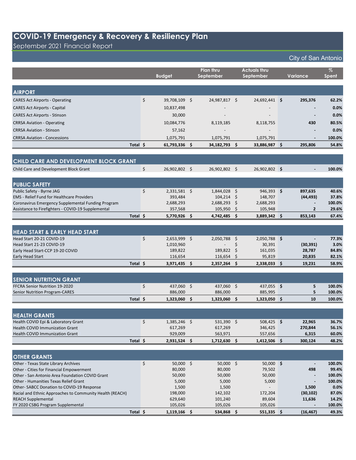September 2021 Financial Report

|                                                                                       | <b>Budget</b>                 | Plan thru<br>September |    | <b>Actuals thru</b><br>September | Variance            | $\%$<br>Spent  |
|---------------------------------------------------------------------------------------|-------------------------------|------------------------|----|----------------------------------|---------------------|----------------|
|                                                                                       |                               |                        |    |                                  |                     |                |
| <b>AIRPORT</b>                                                                        |                               |                        |    |                                  |                     |                |
| <b>CARES Act Airports - Operating</b>                                                 | \$<br>39,708,109 \$           | 24,987,817 \$          |    | 24,692,441 \$                    | 295,376             | 62.2%          |
| <b>CARES Act Airports - Capital</b>                                                   | 10,837,498                    |                        |    |                                  |                     | 0.0%           |
| <b>CARES Act Airports - Stinson</b>                                                   | 30,000                        |                        |    |                                  |                     | 0.0%           |
| <b>CRRSA Aviation - Operating</b>                                                     | 10,084,776                    | 8,119,185              |    | 8,118,755                        | 430                 | 80.5%          |
| <b>CRRSA Aviation - Stinson</b>                                                       | 57,162                        |                        |    |                                  |                     | 0.0%           |
| <b>CRRSA Aviation - Concessions</b>                                                   | 1,075,791                     | 1,075,791              |    | 1,075,791                        |                     | 100.0%         |
| Total \$                                                                              | 61,793,336 \$                 | 34,182,793 \$          |    | 33,886,987 \$                    | 295,806             | 54.8%          |
|                                                                                       |                               |                        |    |                                  |                     |                |
| CHILD CARE AND DEVELOPMENT BLOCK GRANT                                                |                               |                        |    |                                  |                     |                |
| Child Care and Development Block Grant                                                | \$<br>26,902,802 \$           | 26,902,802 \$          |    | 26,902,802 \$                    |                     | 100.0%         |
|                                                                                       |                               |                        |    |                                  |                     |                |
| <b>PUBLIC SAFETY</b>                                                                  |                               |                        |    |                                  |                     |                |
| Public Safety - Byrne JAG                                                             | \$<br>2,331,581 \$            | 1,844,028 \$           |    | $946,393$ \$                     | 897,635             | 40.6%          |
| <b>EMS</b> - Relief Fund for Healthcare Providers                                     | 393,484                       | $104,214$ \$           |    | 148,707                          | (44, 493)           | 37.8%          |
| Coronavirus Emergency Supplemental Funding Program                                    | 2,688,293                     | 2,688,293              | \$ | 2,688,293                        | $\blacksquare$      | 100.0%         |
| Assistance to Firefighters - COVID-19 Supplemental                                    | 357,568                       | 105,950                | \$ | 105,948                          | $\mathbf{2}$        | 29.6%          |
| Total \$                                                                              | 5,770,926 \$                  | 4,742,485 \$           |    | 3,889,342 \$                     | 853,143             | 67.4%          |
|                                                                                       |                               |                        |    |                                  |                     |                |
| <b>HEAD START &amp; EARLY HEAD START</b><br>Head Start 20-21 COVID-19                 | \$                            |                        |    |                                  |                     | 77.3%          |
| Head Start 21-23 COVID-19                                                             | $2,653,999$ \$<br>1,010,960   | 2,050,788 \$           | \$ | 2,050,788 \$<br>30,391           | (30, 391)           | 3.0%           |
| Early Head Start-CCP 19-20 COVID                                                      | 189,822                       | 189,822                | \$ | 161,035                          | 28,787              | 84.8%          |
| Early Head Start                                                                      | 116,654                       | 116,654                | \$ | 95,819                           | 20,835              | 82.1%          |
| Total \$                                                                              | $3,971,435$ \$                | 2,357,264              | -S | $2,338,033$ \$                   | 19,231              | 58.9%          |
|                                                                                       |                               |                        |    |                                  |                     |                |
| <b>SENIOR NUTRITION GRANT</b>                                                         |                               |                        |    |                                  |                     |                |
| FFCRA Senior Nutrition 19-2020                                                        | \$<br>437,060 \$              | 437,060 \$             |    | 437,055 \$                       | 5                   | 100.0%         |
| <b>Senior Nutrition Program-CARES</b>                                                 | 886,000                       | 886,000                |    | 885,995                          | 5                   | 100.0%         |
| Total \$                                                                              | $1,323,060$ \$                | $1,323,060$ \$         |    | $1,323,050$ \$                   | 10                  | 100.0%         |
|                                                                                       |                               |                        |    |                                  |                     |                |
| <b>HEALTH GRANTS</b>                                                                  |                               |                        |    |                                  |                     |                |
| Health COVID Epi & Laboratory Grant                                                   | \$<br>1,385,246 \$<br>617,269 | 531,390 \$             |    | $508,425$ \$<br>346,425          | 22,965              | 36.7%          |
| <b>Health COVID Immunization Grant</b><br><b>Health COVID Immunization Grant</b>      | 929,009                       | 617,269<br>563,971     |    | 557,656                          | 270,844<br>6,315    | 56.1%<br>60.0% |
| Total \$                                                                              | 2,931,524 \$                  | 1,712,630 \$           |    | $1,412,506$ \$                   | 300,124             | 48.2%          |
|                                                                                       |                               |                        |    |                                  |                     |                |
| <b>OTHER GRANTS</b>                                                                   |                               |                        |    |                                  |                     |                |
| Other - Texas State Library Archives                                                  | \$<br>50,000 \$               | $50,000$ \$            |    | 50,000 \$                        |                     | 100.0%         |
| Other - Cities for Financial Empowerment                                              | 80,000                        | 80,000                 |    | 79,502                           | 498                 | 99.4%          |
| Other - San Antonio Area Foundation COVID Grant                                       | 50,000                        | 50,000                 |    | 50,000                           |                     | 100.0%         |
| Other - Humanities Texas Relief Grant                                                 | 5,000                         | 5,000                  |    | 5,000                            |                     | 100.0%         |
| Other-SABCC Donation to COVID-19 Response                                             | 1,500                         | 1,500                  |    |                                  | 1,500               | 0.0%           |
| Racial and Ethnic Approaches to Community Health (REACH)<br><b>REACH Supplemental</b> | 198,000<br>629,640            | 142,102<br>101,240     |    | 172,204<br>89,604                | (30, 102)<br>11,636 | 87.0%<br>14.2% |
| FY 2020 CSBG Program Supplemental                                                     | 105,026                       | 105,026                |    | 105,026                          |                     | 100.0%         |
| Total \$                                                                              | $1,119,166$ \$                | 534,868 \$             |    | 551,335 \$                       | (16, 467)           | 49.3%          |
|                                                                                       |                               |                        |    |                                  |                     |                |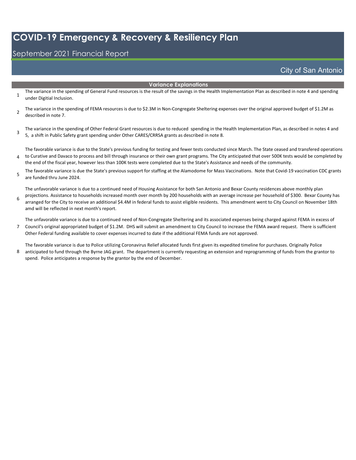#### September 2021 Financial Report

City of San Antonio

#### Variance Explanations

- 1 The variance in the spending of General Fund resources is the result of the savings in the Health Implementation Plan as described in note 4 and spending under Digitial Inclusion.
- 2 The variance in the spending of FEMA resources is due to \$2.3M in Non-Congregate Sheltering expenses over the original approved budget of \$1.2M as described in note 7.

3 The variance in the spending of Other Federal Grant resources is due to reduced spending in the Health Implementation Plan, as described in notes 4 and 5, a shift in Public Safety grant spending under Other CARES/CRRSA grants as described in note 8.

4 The favorable variance is due to the State's previous funding for testing and fewer tests conducted since March. The State ceased and transfered operations to Curative and Davaco to process and bill through insurance or their own grant programs. The City anticipated that over 500K tests would be completed by the end of the fiscal year, however less than 100K tests were completed due to the State's Assistance and needs of the community.

5 The favorable variance is due the State's previous support for staffing at the Alamodome for Mass Vaccinations. Note that Covid-19 vaccination CDC grants are funded thru June 2024.

The unfavorable variance is due to a continued need of Housing Assistance for both San Antonio and Bexar County residences above monthly plan

6 projections. Assistance to households increased month over month by 200 households with an average increase per household of \$300. Bexar County has arranged for the City to receive an additional \$4.4M in federal funds to assist eligible residents. This amendment went to City Council on November 18th amd will be reflected in next month's report.

The unfavorable variance is due to a continued need of Non-Congregate Sheltering and its associated expenses being charged against FEMA in excess of

7 Council's original appropriated budget of \$1.2M. DHS will submit an amendment to City Council to increase the FEMA award request. There is sufficient Other Federal funding available to cover expenses incurred to date if the additional FEMA funds are not approved.

8 The favorable variance is due to Police utilizing Coronavirus Relief allocated funds first given its expedited timeline for purchases. Originally Police anticipated to fund through the Byrne JAG grant. The department is currently requesting an extension and reprogramming of funds from the grantor to spend. Police anticipates a response by the grantor by the end of December.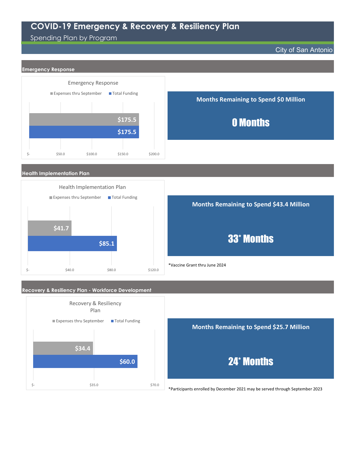Spending Plan by Program

City of San Antonio



\*Participants enrolled by December 2021 may be served through September 2023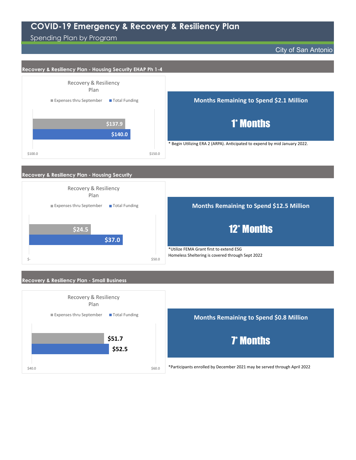Spending Plan by Program

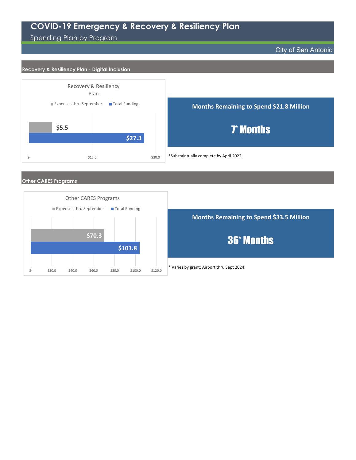Spending Plan by Program

City of San Antonio

#### Recovery & Resiliency Plan - Digital Inclusion



Other CARES Programs

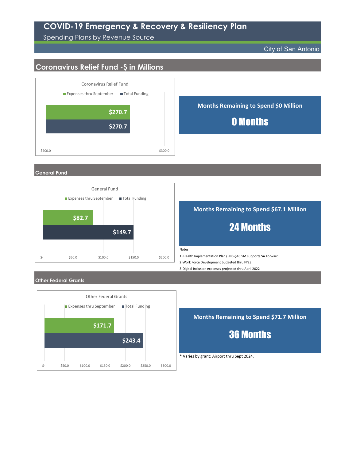#### Spending Plans by Revenue Source

City of San Antonio

## Coronavirus Relief Fund -\$ in Millions



#### General Fund



#### Months Remaining to Spend \$67.1 Million

## 24 Months

Notes:

3)Digital Inclusion expenses projected thru April 2022 1) Health Implementation Plan (HIP)-\$16.5M supports SA Forward. 2)Work Force Development budgeted thru FY23.

#### Other Federal Grants



Months Remaining to Spend \$71.7 Million

36 Months

\* Varies by grant: Airport thru Sept 2024.